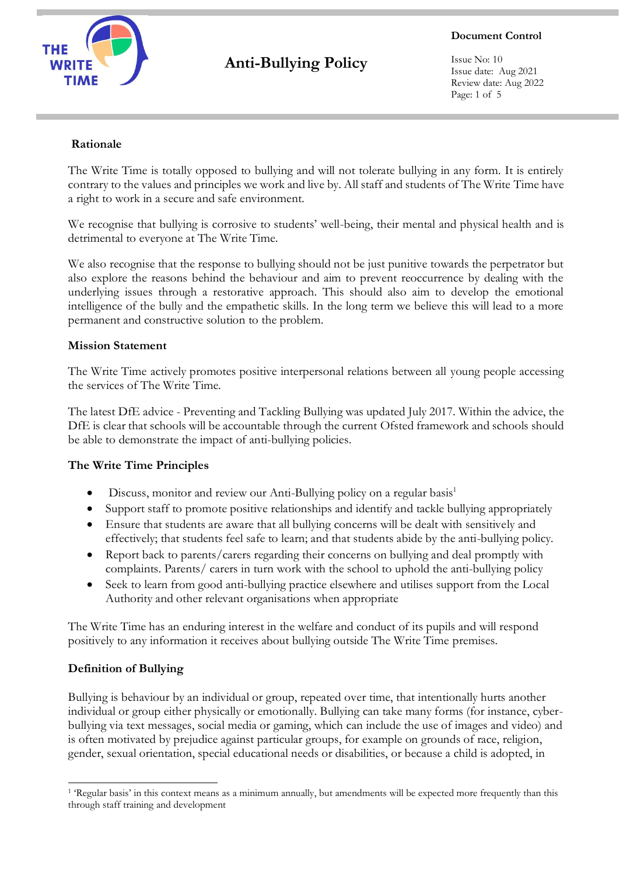

**Document Control**

Issue No: 10 Issue date: Aug 2021 Review date: Aug 2022 Page: 1 of 5

#### **Rationale**

The Write Time is totally opposed to bullying and will not tolerate bullying in any form. It is entirely contrary to the values and principles we work and live by. All staff and students of The Write Time have a right to work in a secure and safe environment.

We recognise that bullying is corrosive to students' well-being, their mental and physical health and is detrimental to everyone at The Write Time.

We also recognise that the response to bullying should not be just punitive towards the perpetrator but also explore the reasons behind the behaviour and aim to prevent reoccurrence by dealing with the underlying issues through a restorative approach. This should also aim to develop the emotional intelligence of the bully and the empathetic skills. In the long term we believe this will lead to a more permanent and constructive solution to the problem.

#### **Mission Statement**

The Write Time actively promotes positive interpersonal relations between all young people accessing the services of The Write Time.

The latest DfE advice - Preventing and Tackling Bullying was updated July 2017. Within the advice, the DfE is clear that schools will be accountable through the current Ofsted framework and schools should be able to demonstrate the impact of anti-bullying policies.

#### **The Write Time Principles**

- Discuss, monitor and review our Anti-Bullying policy on a regular basis<sup>1</sup>
- Support staff to promote positive relationships and identify and tackle bullying appropriately
- Ensure that students are aware that all bullying concerns will be dealt with sensitively and effectively; that students feel safe to learn; and that students abide by the anti-bullying policy.
- Report back to parents/carers regarding their concerns on bullying and deal promptly with complaints. Parents/ carers in turn work with the school to uphold the anti-bullying policy
- Seek to learn from good anti-bullying practice elsewhere and utilises support from the Local Authority and other relevant organisations when appropriate

The Write Time has an enduring interest in the welfare and conduct of its pupils and will respond positively to any information it receives about bullying outside The Write Time premises.

#### **Definition of Bullying**

Bullying is behaviour by an individual or group, repeated over time, that intentionally hurts another individual or group either physically or emotionally. Bullying can take many forms (for instance, cyberbullying via text messages, social media or gaming, which can include the use of images and video) and is often motivated by prejudice against particular groups, for example on grounds of race, religion, gender, sexual orientation, special educational needs or disabilities, or because a child is adopted, in

<sup>1</sup> 'Regular basis' in this context means as a minimum annually, but amendments will be expected more frequently than this through staff training and development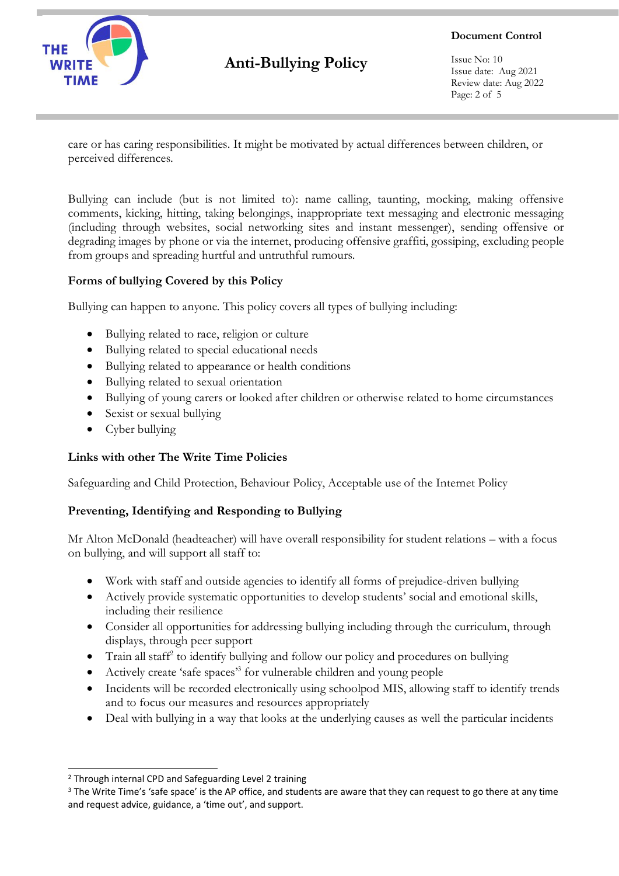

**Document Control**

Issue No: 10 Issue date: Aug 2021 Review date: Aug 2022 Page: 2 of 5

care or has caring responsibilities. It might be motivated by actual differences between children, or perceived differences.

Bullying can include (but is not limited to): name calling, taunting, mocking, making offensive comments, kicking, hitting, taking belongings, inappropriate text messaging and electronic messaging (including through websites, social networking sites and instant messenger), sending offensive or degrading images by phone or via the internet, producing offensive graffiti, gossiping, excluding people from groups and spreading hurtful and untruthful rumours.

### **Forms of bullying Covered by this Policy**

Bullying can happen to anyone. This policy covers all types of bullying including:

- Bullying related to race, religion or culture
- Bullying related to special educational needs
- Bullying related to appearance or health conditions
- Bullying related to sexual orientation
- Bullying of young carers or looked after children or otherwise related to home circumstances
- Sexist or sexual bullying
- Cyber bullying

### **Links with other The Write Time Policies**

Safeguarding and Child Protection, Behaviour Policy, Acceptable use of the Internet Policy

### **Preventing, Identifying and Responding to Bullying**

Mr Alton McDonald (headteacher) will have overall responsibility for student relations – with a focus on bullying, and will support all staff to:

- Work with staff and outside agencies to identify all forms of prejudice-driven bullying
- Actively provide systematic opportunities to develop students' social and emotional skills, including their resilience
- Consider all opportunities for addressing bullying including through the curriculum, through displays, through peer support
- Train all staff<sup>2</sup> to identify bullying and follow our policy and procedures on bullying
- Actively create 'safe spaces' 3 for vulnerable children and young people
- Incidents will be recorded electronically using schoolpod MIS, allowing staff to identify trends and to focus our measures and resources appropriately
- Deal with bullying in a way that looks at the underlying causes as well the particular incidents

<sup>2</sup> Through internal CPD and Safeguarding Level 2 training

<sup>&</sup>lt;sup>3</sup> The Write Time's 'safe space' is the AP office, and students are aware that they can request to go there at any time and request advice, guidance, a 'time out', and support.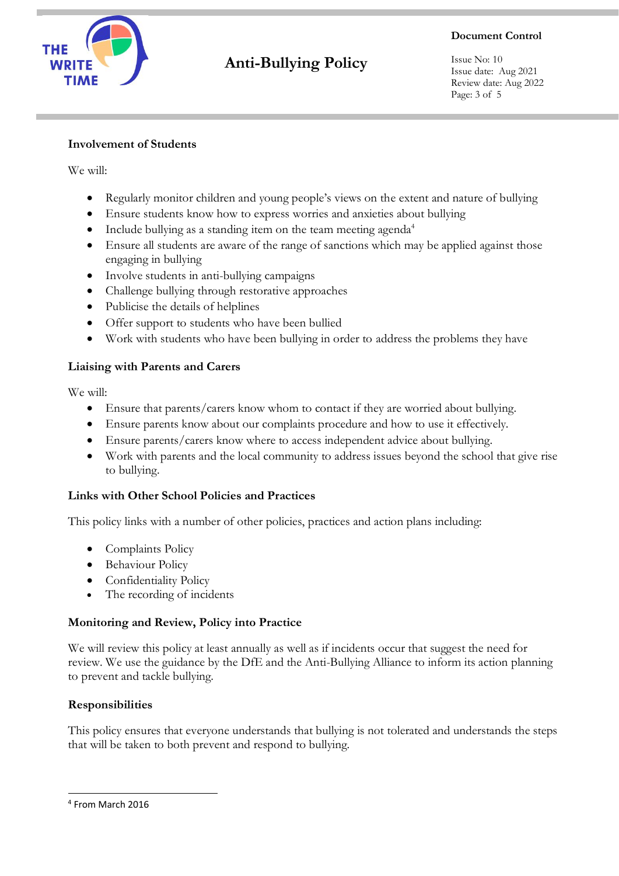

**Document Control**

Issue No: 10 Issue date: Aug 2021 Review date: Aug 2022 Page: 3 of 5

### **Involvement of Students**

We will:

- Regularly monitor children and young people's views on the extent and nature of bullying
- Ensure students know how to express worries and anxieties about bullying
- Include bullying as a standing item on the team meeting agenda<sup>4</sup>
- Ensure all students are aware of the range of sanctions which may be applied against those engaging in bullying
- Involve students in anti-bullying campaigns
- Challenge bullying through restorative approaches
- Publicise the details of helplines
- Offer support to students who have been bullied
- Work with students who have been bullying in order to address the problems they have

### **Liaising with Parents and Carers**

We will:

- Ensure that parents/carers know whom to contact if they are worried about bullying.
- Ensure parents know about our complaints procedure and how to use it effectively.
- Ensure parents/carers know where to access independent advice about bullying.
- Work with parents and the local community to address issues beyond the school that give rise to bullying.

### **Links with Other School Policies and Practices**

This policy links with a number of other policies, practices and action plans including:

- Complaints Policy
- Behaviour Policy
- Confidentiality Policy
- The recording of incidents

### **Monitoring and Review, Policy into Practice**

We will review this policy at least annually as well as if incidents occur that suggest the need for review. We use the guidance by the DfE and the Anti-Bullying Alliance to inform its action planning to prevent and tackle bullying.

### **Responsibilities**

This policy ensures that everyone understands that bullying is not tolerated and understands the steps that will be taken to both prevent and respond to bullying.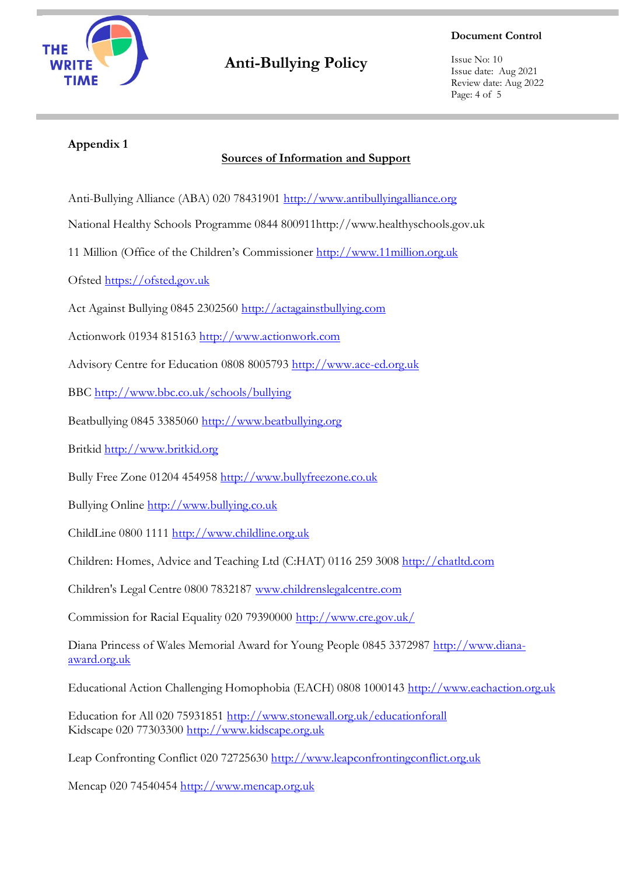

#### **Document Control**

Issue No: 10 Issue date: Aug 2021 Review date: Aug 2022 Page: 4 of 5

### **Appendix 1**

### **Sources of Information and Support**

Anti-Bullying Alliance (ABA) 020 78431901 [http://www.antibullyingalliance.org](http://www.antibullyingalliance.org/)

National Healthy Schools Programme 0844 800911http://www.healthyschools.gov.uk

11 Million (Office of the Children's Commissioner [http://www.11million.org.uk](http://www.11million.org.uk/)

Ofsted [https://ofsted.gov.uk](https://ofsted.gov.uk/)

Act Against Bullying 0845 2302560 [http://actagainstbullying.com](http://actagainstbullying.com/)

Actionwork 01934 815163 [http://www.actionwork.com](http://www.actionwork.com/)

Advisory Centre for Education 0808 8005793 [http://www.ace-ed.org.uk](http://www.ace-ed.org.uk/)

BBC<http://www.bbc.co.uk/schools/bullying>

Beatbullying 0845 3385060 [http://www.beatbullying.org](http://www.beatbullying.org/)

Britkid [http://www.britkid.org](http://www.britkid.org/)

Bully Free Zone 01204 454958 [http://www.bullyfreezone.co.uk](http://www.bullyfreezone.co.uk/)

Bullying Online [http://www.bullying.co.uk](http://www.bullying.co.uk/)

ChildLine 0800 1111 [http://www.childline.org.uk](http://www.childline.org.uk/)

Children: Homes, Advice and Teaching Ltd (C:HAT) 0116 259 3008 [http://chatltd.com](http://chatltd.com/)

Children's Legal Centre 0800 7832187 www.childrenslegalcentre.com

Commission for Racial Equality 020 79390000<http://www.cre.gov.uk/>

Diana Princess of Wales Memorial Award for Young People 0845 3372987 [http://www.diana](http://www.diana-award.org.uk/)[award.org.uk](http://www.diana-award.org.uk/)

Educational Action Challenging Homophobia (EACH) 0808 1000143 [http://www.eachaction.org.uk](http://www.eachaction.org.uk/)

Education for All 020 75931851<http://www.stonewall.org.uk/educationforall> Kidscape 020 77303300 [http://www.kidscape.org.uk](http://www.kidscape.org.uk/)

Leap Confronting Conflict 020 72725630 [http://www.leapconfrontingconflict.org.uk](http://www.leapconfrontingconflict.org.uk/)

Mencap 020 74540454 [http://www.mencap.org.uk](http://www.mencap.org.uk/)